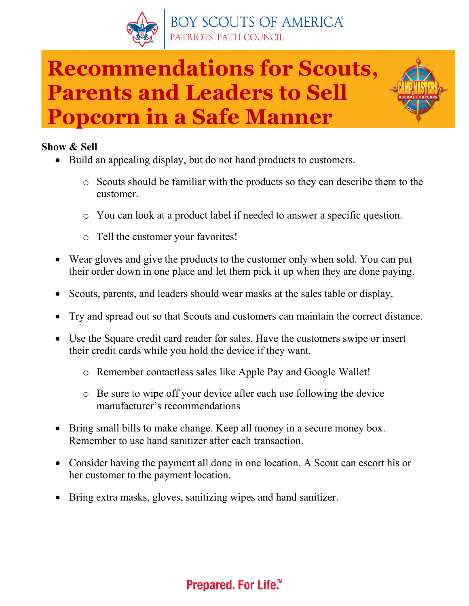

# **Recommendations for Scouts, Parents and Leaders to Sell Popcorn in a Safe Manner**

## **Show & Sell**

- Build an appealing display, but do not hand products to customers.
	- o Scouts should be familiar with the products so they can describe them to the customer.
	- o You can look at a product label if needed to answer a specific question.
	- o Tell the customer your favorites!
- Wear gloves and give the products to the customer only when sold. You can put their order down in one place and let them pick it up when they are done paying.
- Scouts, parents, and leaders should wear masks at the sales table or display.
- Try and spread out so that Scouts and customers can maintain the correct distance.
- Use the Square credit card reader for sales. Have the customers swipe or insert their credit cards while you hold the device if they want.
	- o Remember contactless sales like Apple Pay and Google Wallet!
	- o Be sure to wipe off your device after each use following the device manufacturer's recommendations
- Bring small bills to make change. Keep all money in a secure money box. Remember to use hand sanitizer after each transaction.
- Consider having the payment all done in one location. A Scout can escort his or her customer to the payment location.
- Bring extra masks, gloves, sanitizing wipes and hand sanitizer.

# **Prepared. For Life.™**